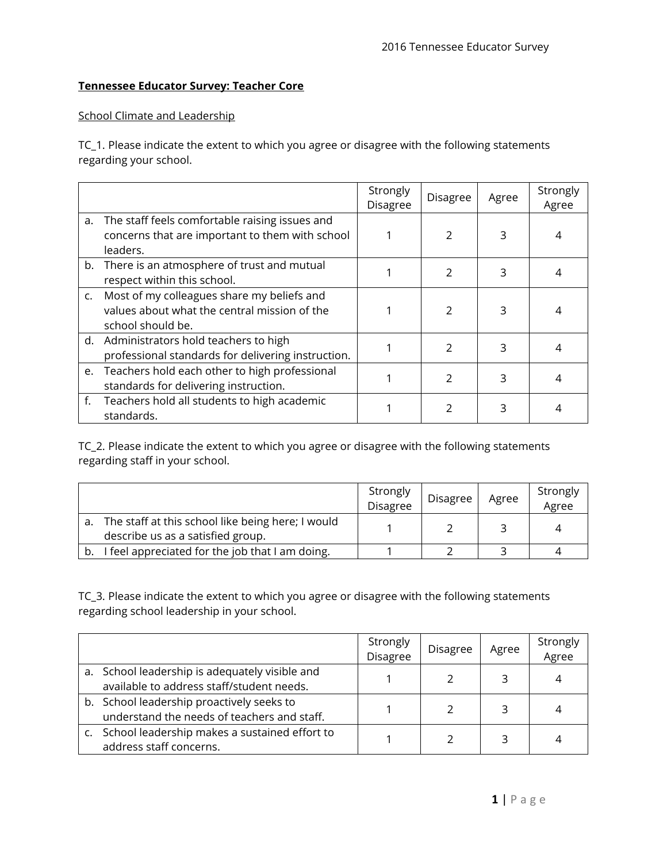## **Tennessee Educator Survey: Teacher Core**

## School Climate and Leadership

TC\_1. Please indicate the extent to which you agree or disagree with the following statements regarding your school.

|                |                                                                                                                 | Strongly<br><b>Disagree</b> | <b>Disagree</b> | Agree | Strongly<br>Agree |   |  |
|----------------|-----------------------------------------------------------------------------------------------------------------|-----------------------------|-----------------|-------|-------------------|---|--|
| a.             | The staff feels comfortable raising issues and<br>concerns that are important to them with school<br>leaders.   |                             | 2               | 3     |                   |   |  |
|                | b. There is an atmosphere of trust and mutual<br>respect within this school.                                    | 2                           |                 |       |                   | 3 |  |
| $\mathsf{C}$ . | Most of my colleagues share my beliefs and<br>values about what the central mission of the<br>school should be. |                             | $\overline{2}$  | 3     |                   |   |  |
|                | d. Administrators hold teachers to high<br>professional standards for delivering instruction.                   |                             | $\mathfrak{D}$  | 3     |                   |   |  |
|                | e. Teachers hold each other to high professional<br>standards for delivering instruction.                       |                             | $\mathfrak{D}$  | 3     |                   |   |  |
| f.             | Teachers hold all students to high academic<br>standards.                                                       |                             | $\mathcal{P}$   | 3     |                   |   |  |

TC\_2. Please indicate the extent to which you agree or disagree with the following statements regarding staff in your school.

|                                                                                        | Strongly<br><b>Disagree</b> | <b>Disagree</b> | Agree | Strongly<br>Agree |
|----------------------------------------------------------------------------------------|-----------------------------|-----------------|-------|-------------------|
| The staff at this school like being here; I would<br>describe us as a satisfied group. |                             |                 |       |                   |
| I feel appreciated for the job that I am doing.                                        |                             |                 |       |                   |

TC\_3. Please indicate the extent to which you agree or disagree with the following statements regarding school leadership in your school.

|                                                                                             | Strongly<br>Disagree | <b>Disagree</b> | Agree | Strongly<br>Agree |
|---------------------------------------------------------------------------------------------|----------------------|-----------------|-------|-------------------|
| a. School leadership is adequately visible and<br>available to address staff/student needs. |                      |                 |       |                   |
| b. School leadership proactively seeks to<br>understand the needs of teachers and staff.    |                      |                 |       |                   |
| c. School leadership makes a sustained effort to<br>address staff concerns.                 |                      |                 |       |                   |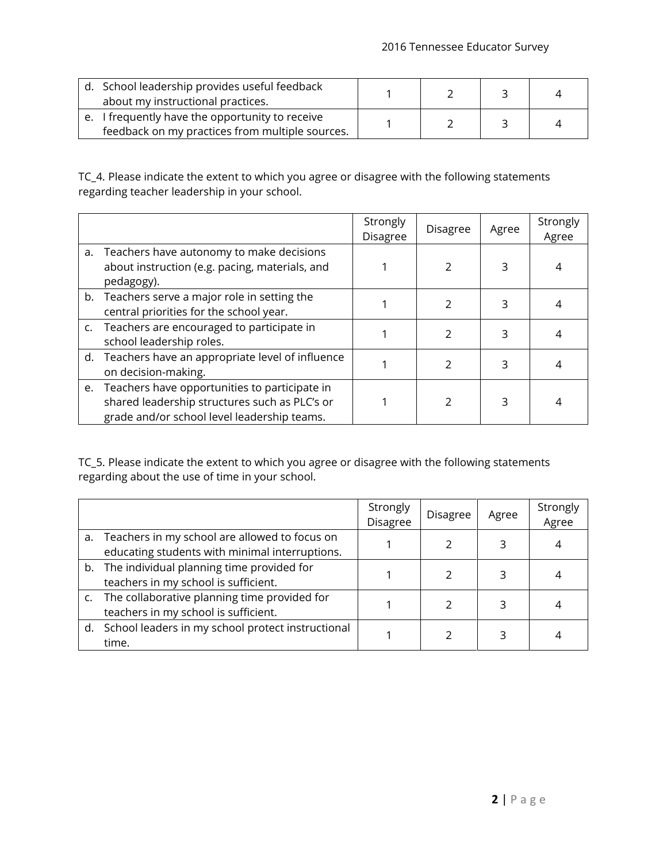| d. School leadership provides useful feedback<br>about my instructional practices.                 |  |  |
|----------------------------------------------------------------------------------------------------|--|--|
| e. I frequently have the opportunity to receive<br>feedback on my practices from multiple sources. |  |  |

TC\_4. Please indicate the extent to which you agree or disagree with the following statements regarding teacher leadership in your school.

|                                                                                                                                                  | Strongly<br><b>Disagree</b> | <b>Disagree</b> | Agree | Strongly<br>Agree |
|--------------------------------------------------------------------------------------------------------------------------------------------------|-----------------------------|-----------------|-------|-------------------|
| a. Teachers have autonomy to make decisions<br>about instruction (e.g. pacing, materials, and<br>pedagogy).                                      |                             |                 | 3     |                   |
| b. Teachers serve a major role in setting the<br>central priorities for the school year.                                                         |                             | 2               | 3     |                   |
| c. Teachers are encouraged to participate in<br>school leadership roles.                                                                         |                             | 2               | 3     |                   |
| d. Teachers have an appropriate level of influence<br>on decision-making.                                                                        |                             | 2               | 3     | 4                 |
| e. Teachers have opportunities to participate in<br>shared leadership structures such as PLC's or<br>grade and/or school level leadership teams. |                             | 2               | 3     | 4                 |

TC\_5. Please indicate the extent to which you agree or disagree with the following statements regarding about the use of time in your school.

|    |                                                                                                 | Strongly<br><b>Disagree</b> | <b>Disagree</b> | Agree | Strongly<br>Agree |
|----|-------------------------------------------------------------------------------------------------|-----------------------------|-----------------|-------|-------------------|
| a. | Teachers in my school are allowed to focus on<br>educating students with minimal interruptions. |                             |                 | 3     |                   |
|    | b. The individual planning time provided for<br>teachers in my school is sufficient.            |                             |                 |       |                   |
|    | c. The collaborative planning time provided for<br>teachers in my school is sufficient.         |                             |                 |       |                   |
|    | d. School leaders in my school protect instructional<br>time.                                   |                             |                 |       |                   |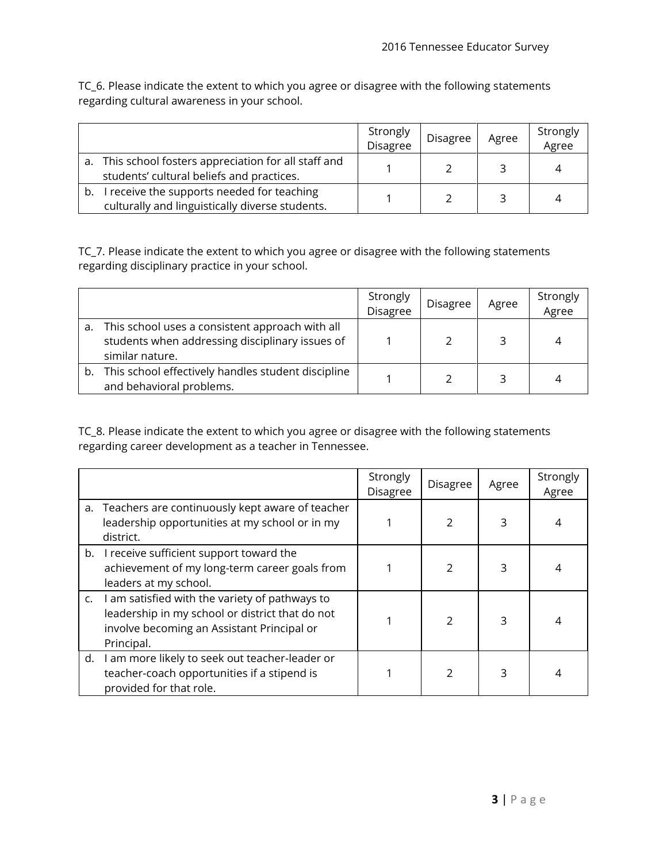TC\_6. Please indicate the extent to which you agree or disagree with the following statements regarding cultural awareness in your school.

|    |                                                                                                    | Strongly<br>Disagree | Disagree | Agree | Strongly<br>Agree |
|----|----------------------------------------------------------------------------------------------------|----------------------|----------|-------|-------------------|
|    | a. This school fosters appreciation for all staff and<br>students' cultural beliefs and practices. |                      |          |       |                   |
| b. | receive the supports needed for teaching<br>culturally and linguistically diverse students.        |                      |          |       | 4                 |

TC\_7. Please indicate the extent to which you agree or disagree with the following statements regarding disciplinary practice in your school.

|    |                                                                                                                       | Strongly<br>Disagree | <b>Disagree</b> | Agree | Strongly<br>Agree |
|----|-----------------------------------------------------------------------------------------------------------------------|----------------------|-----------------|-------|-------------------|
| a. | This school uses a consistent approach with all<br>students when addressing disciplinary issues of<br>similar nature. |                      |                 | 3     |                   |
| b. | This school effectively handles student discipline<br>and behavioral problems.                                        |                      |                 |       |                   |

TC\_8. Please indicate the extent to which you agree or disagree with the following statements regarding career development as a teacher in Tennessee.

|    |                                                                                                                                                               | Strongly<br><b>Disagree</b> | <b>Disagree</b> |   | Strongly<br>Agree |
|----|---------------------------------------------------------------------------------------------------------------------------------------------------------------|-----------------------------|-----------------|---|-------------------|
|    | a. Teachers are continuously kept aware of teacher<br>leadership opportunities at my school or in my<br>district.                                             |                             | 2               | 3 | 4                 |
|    | b. I receive sufficient support toward the<br>achievement of my long-term career goals from<br>leaders at my school.                                          |                             | $\overline{2}$  | 3 |                   |
| C. | I am satisfied with the variety of pathways to<br>leadership in my school or district that do not<br>involve becoming an Assistant Principal or<br>Principal. |                             | 2               | 3 | 4                 |
| d. | I am more likely to seek out teacher-leader or<br>teacher-coach opportunities if a stipend is<br>provided for that role.                                      |                             | $\mathcal{P}$   | 3 | 4                 |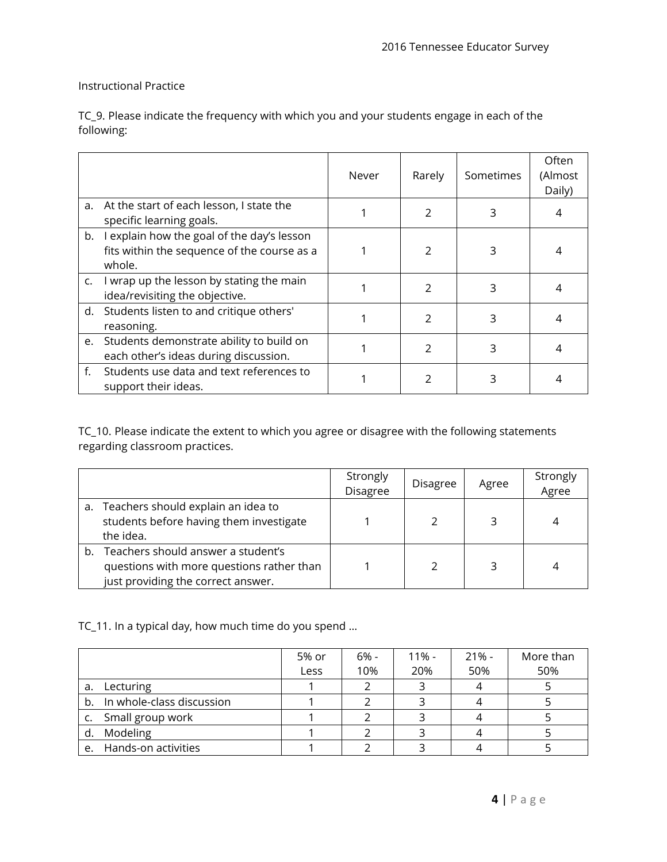## Instructional Practice

TC\_9. Please indicate the frequency with which you and your students engage in each of the following:

|    |                                                                                                     | Never | Rarely        | Sometimes | Often<br>(Almost<br>Daily) |
|----|-----------------------------------------------------------------------------------------------------|-------|---------------|-----------|----------------------------|
| a. | At the start of each lesson, I state the<br>specific learning goals.                                |       | $\mathcal{P}$ | 3         | 4                          |
| b. | I explain how the goal of the day's lesson<br>fits within the sequence of the course as a<br>whole. |       | $\mathcal{P}$ | 3         | 4                          |
| c. | I wrap up the lesson by stating the main<br>idea/revisiting the objective.                          |       | 2             | 3         | 4                          |
|    | d. Students listen to and critique others'<br>reasoning.                                            |       | 2             | 3         | 4                          |
| e. | Students demonstrate ability to build on<br>each other's ideas during discussion.                   |       | $\mathcal{P}$ | 3         | 4                          |
| f. | Students use data and text references to<br>support their ideas.                                    |       |               |           |                            |

TC\_10. Please indicate the extent to which you agree or disagree with the following statements regarding classroom practices.

|    |                                                                                                                       | Strongly<br>Disagree | <b>Disagree</b> | Agree | Strongly<br>Agree |
|----|-----------------------------------------------------------------------------------------------------------------------|----------------------|-----------------|-------|-------------------|
|    | a. Teachers should explain an idea to<br>students before having them investigate<br>the idea.                         |                      |                 |       |                   |
| b. | Teachers should answer a student's<br>questions with more questions rather than<br>just providing the correct answer. |                      |                 |       |                   |

TC\_11. In a typical day, how much time do you spend …

|    |                              | 5% or | 6% - | $11\%$ - | $21% -$ | More than |
|----|------------------------------|-------|------|----------|---------|-----------|
|    |                              | Less  | 10%  | 20%      | 50%     | 50%       |
| a. | Lecturing                    |       |      |          |         |           |
|    | b. In whole-class discussion |       |      |          |         |           |
|    | c. Small group work          |       |      |          |         |           |
| d. | Modeling                     |       |      |          |         |           |
|    | e. Hands-on activities       |       |      |          |         |           |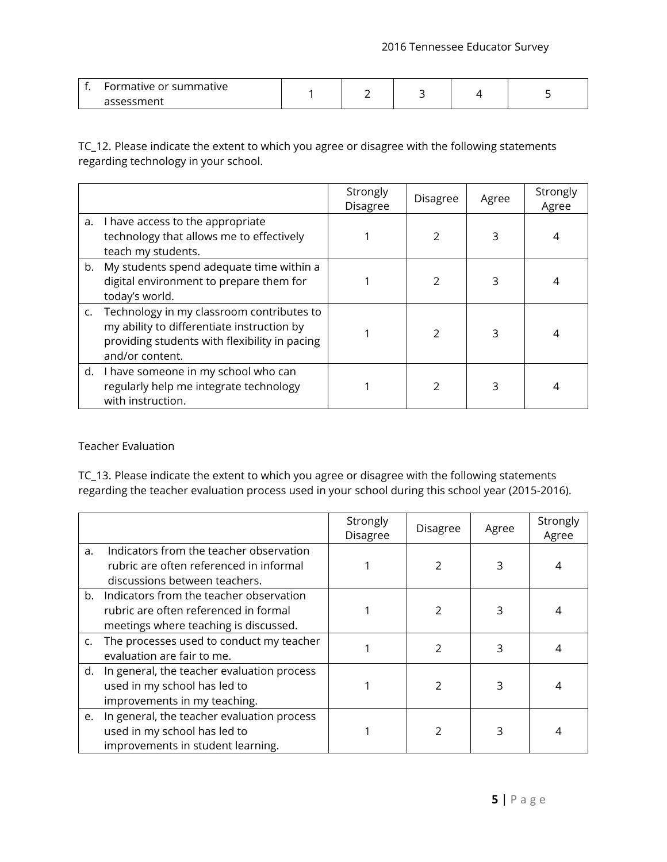| Formative or summative |  |  |  |
|------------------------|--|--|--|
| assessment             |  |  |  |

TC\_12. Please indicate the extent to which you agree or disagree with the following statements regarding technology in your school.

|                                                                                                                                                                | Strongly<br><b>Disagree</b> | <b>Disagree</b> | Agree | Strongly<br>Agree |
|----------------------------------------------------------------------------------------------------------------------------------------------------------------|-----------------------------|-----------------|-------|-------------------|
| a. I have access to the appropriate<br>technology that allows me to effectively<br>teach my students.                                                          |                             | 2               | 3     |                   |
| b. My students spend adequate time within a<br>digital environment to prepare them for<br>today's world.                                                       |                             | 2               |       |                   |
| c. Technology in my classroom contributes to<br>my ability to differentiate instruction by<br>providing students with flexibility in pacing<br>and/or content. |                             | 2               |       |                   |
| d. I have someone in my school who can<br>regularly help me integrate technology<br>with instruction.                                                          |                             | 2               |       |                   |

Teacher Evaluation

TC\_13. Please indicate the extent to which you agree or disagree with the following statements regarding the teacher evaluation process used in your school during this school year (2015-2016).

|    |                                                                                                                              | Strongly<br>Disagree | <b>Disagree</b> | Agree | Strongly<br>Agree |
|----|------------------------------------------------------------------------------------------------------------------------------|----------------------|-----------------|-------|-------------------|
| a. | Indicators from the teacher observation<br>rubric are often referenced in informal<br>discussions between teachers.          |                      | $\mathcal{P}$   |       | 4                 |
|    | b. Indicators from the teacher observation<br>rubric are often referenced in formal<br>meetings where teaching is discussed. |                      | $\mathcal{P}$   |       |                   |
|    | c. The processes used to conduct my teacher<br>evaluation are fair to me.                                                    |                      | $\mathcal{P}$   | 3     |                   |
|    | d. In general, the teacher evaluation process<br>used in my school has led to<br>improvements in my teaching.                |                      |                 | 3     |                   |
| e. | In general, the teacher evaluation process<br>used in my school has led to<br>improvements in student learning.              |                      |                 |       |                   |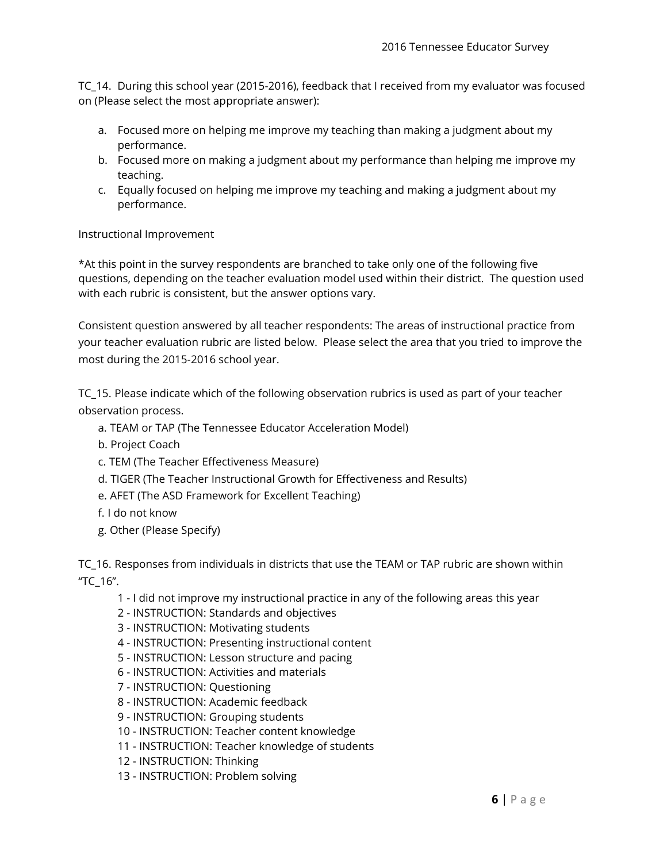TC\_14. During this school year (2015-2016), feedback that I received from my evaluator was focused on (Please select the most appropriate answer):

- a. Focused more on helping me improve my teaching than making a judgment about my performance.
- b. Focused more on making a judgment about my performance than helping me improve my teaching.
- c. Equally focused on helping me improve my teaching and making a judgment about my performance.

Instructional Improvement

\*At this point in the survey respondents are branched to take only one of the following five questions, depending on the teacher evaluation model used within their district. The question used with each rubric is consistent, but the answer options vary.

Consistent question answered by all teacher respondents: The areas of instructional practice from your teacher evaluation rubric are listed below. Please select the area that you tried to improve the most during the 2015-2016 school year.

TC\_15. Please indicate which of the following observation rubrics is used as part of your teacher observation process.

- a. TEAM or TAP (The Tennessee Educator Acceleration Model)
- b. Project Coach
- c. TEM (The Teacher Effectiveness Measure)
- d. TIGER (The Teacher Instructional Growth for Effectiveness and Results)
- e. AFET (The ASD Framework for Excellent Teaching)
- f. I do not know
- g. Other (Please Specify)

TC\_16. Responses from individuals in districts that use the TEAM or TAP rubric are shown within "TC\_16".

- 1 I did not improve my instructional practice in any of the following areas this year
- 2 INSTRUCTION: Standards and objectives
- 3 INSTRUCTION: Motivating students
- 4 INSTRUCTION: Presenting instructional content
- 5 INSTRUCTION: Lesson structure and pacing
- 6 INSTRUCTION: Activities and materials
- 7 INSTRUCTION: Questioning
- 8 INSTRUCTION: Academic feedback
- 9 INSTRUCTION: Grouping students
- 10 INSTRUCTION: Teacher content knowledge
- 11 INSTRUCTION: Teacher knowledge of students
- 12 INSTRUCTION: Thinking
- 13 INSTRUCTION: Problem solving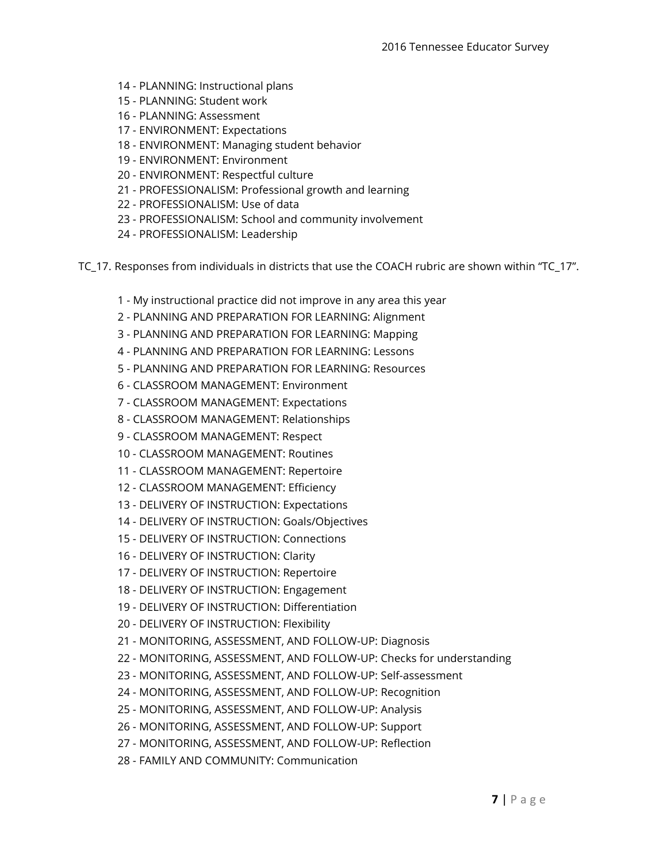- 14 PLANNING: Instructional plans
- 15 PLANNING: Student work
- 16 PLANNING: Assessment
- 17 ENVIRONMENT: Expectations
- 18 ENVIRONMENT: Managing student behavior
- 19 ENVIRONMENT: Environment
- 20 ENVIRONMENT: Respectful culture
- 21 PROFESSIONALISM: Professional growth and learning
- 22 PROFESSIONALISM: Use of data
- 23 PROFESSIONALISM: School and community involvement
- 24 PROFESSIONALISM: Leadership
- TC\_17. Responses from individuals in districts that use the COACH rubric are shown within "TC\_17".
	- 1 My instructional practice did not improve in any area this year
	- 2 PLANNING AND PREPARATION FOR LEARNING: Alignment
	- 3 PLANNING AND PREPARATION FOR LEARNING: Mapping
	- 4 PLANNING AND PREPARATION FOR LEARNING: Lessons
	- 5 PLANNING AND PREPARATION FOR LEARNING: Resources
	- 6 CLASSROOM MANAGEMENT: Environment
	- 7 CLASSROOM MANAGEMENT: Expectations
	- 8 CLASSROOM MANAGEMENT: Relationships
	- 9 CLASSROOM MANAGEMENT: Respect
	- 10 CLASSROOM MANAGEMENT: Routines
	- 11 CLASSROOM MANAGEMENT: Repertoire
	- 12 CLASSROOM MANAGEMENT: Efficiency
	- 13 DELIVERY OF INSTRUCTION: Expectations
	- 14 DELIVERY OF INSTRUCTION: Goals/Objectives
	- 15 DELIVERY OF INSTRUCTION: Connections
	- 16 DELIVERY OF INSTRUCTION: Clarity
	- 17 DELIVERY OF INSTRUCTION: Repertoire
	- 18 DELIVERY OF INSTRUCTION: Engagement
	- 19 DELIVERY OF INSTRUCTION: Differentiation
	- 20 DELIVERY OF INSTRUCTION: Flexibility
	- 21 MONITORING, ASSESSMENT, AND FOLLOW-UP: Diagnosis
	- 22 MONITORING, ASSESSMENT, AND FOLLOW-UP: Checks for understanding
	- 23 MONITORING, ASSESSMENT, AND FOLLOW-UP: Self-assessment
	- 24 MONITORING, ASSESSMENT, AND FOLLOW-UP: Recognition
	- 25 MONITORING, ASSESSMENT, AND FOLLOW-UP: Analysis
	- 26 MONITORING, ASSESSMENT, AND FOLLOW-UP: Support
	- 27 MONITORING, ASSESSMENT, AND FOLLOW-UP: Reflection
	- 28 FAMILY AND COMMUNITY: Communication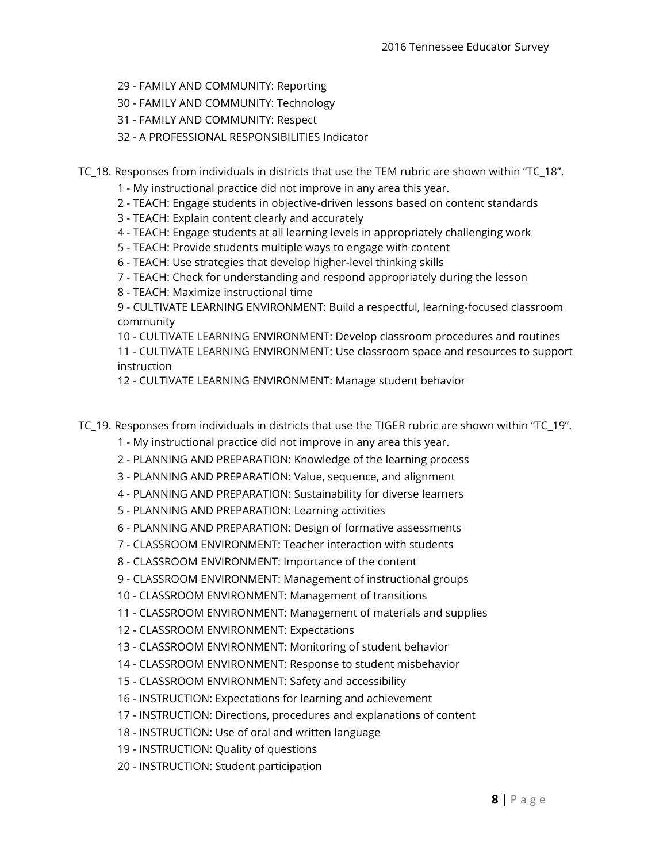- 29 FAMILY AND COMMUNITY: Reporting
- 30 FAMILY AND COMMUNITY: Technology
- 31 FAMILY AND COMMUNITY: Respect
- 32 A PROFESSIONAL RESPONSIBILITIES Indicator

TC\_18. Responses from individuals in districts that use the TEM rubric are shown within "TC\_18".

- 1 My instructional practice did not improve in any area this year.
- 2 TEACH: Engage students in objective-driven lessons based on content standards
- 3 TEACH: Explain content clearly and accurately
- 4 TEACH: Engage students at all learning levels in appropriately challenging work
- 5 TEACH: Provide students multiple ways to engage with content
- 6 TEACH: Use strategies that develop higher-level thinking skills
- 7 TEACH: Check for understanding and respond appropriately during the lesson
- 8 TEACH: Maximize instructional time

9 - CULTIVATE LEARNING ENVIRONMENT: Build a respectful, learning-focused classroom community

10 - CULTIVATE LEARNING ENVIRONMENT: Develop classroom procedures and routines

11 - CULTIVATE LEARNING ENVIRONMENT: Use classroom space and resources to support instruction

12 - CULTIVATE LEARNING ENVIRONMENT: Manage student behavior

- TC 19. Responses from individuals in districts that use the TIGER rubric are shown within "TC 19".
	- 1 My instructional practice did not improve in any area this year.
	- 2 PLANNING AND PREPARATION: Knowledge of the learning process
	- 3 PLANNING AND PREPARATION: Value, sequence, and alignment
	- 4 PLANNING AND PREPARATION: Sustainability for diverse learners
	- 5 PLANNING AND PREPARATION: Learning activities
	- 6 PLANNING AND PREPARATION: Design of formative assessments
	- 7 CLASSROOM ENVIRONMENT: Teacher interaction with students
	- 8 CLASSROOM ENVIRONMENT: Importance of the content
	- 9 CLASSROOM ENVIRONMENT: Management of instructional groups
	- 10 CLASSROOM ENVIRONMENT: Management of transitions
	- 11 CLASSROOM ENVIRONMENT: Management of materials and supplies
	- 12 CLASSROOM ENVIRONMENT: Expectations
	- 13 CLASSROOM ENVIRONMENT: Monitoring of student behavior
	- 14 CLASSROOM ENVIRONMENT: Response to student misbehavior
	- 15 CLASSROOM ENVIRONMENT: Safety and accessibility
	- 16 INSTRUCTION: Expectations for learning and achievement
	- 17 INSTRUCTION: Directions, procedures and explanations of content
	- 18 INSTRUCTION: Use of oral and written language
	- 19 INSTRUCTION: Quality of questions
	- 20 INSTRUCTION: Student participation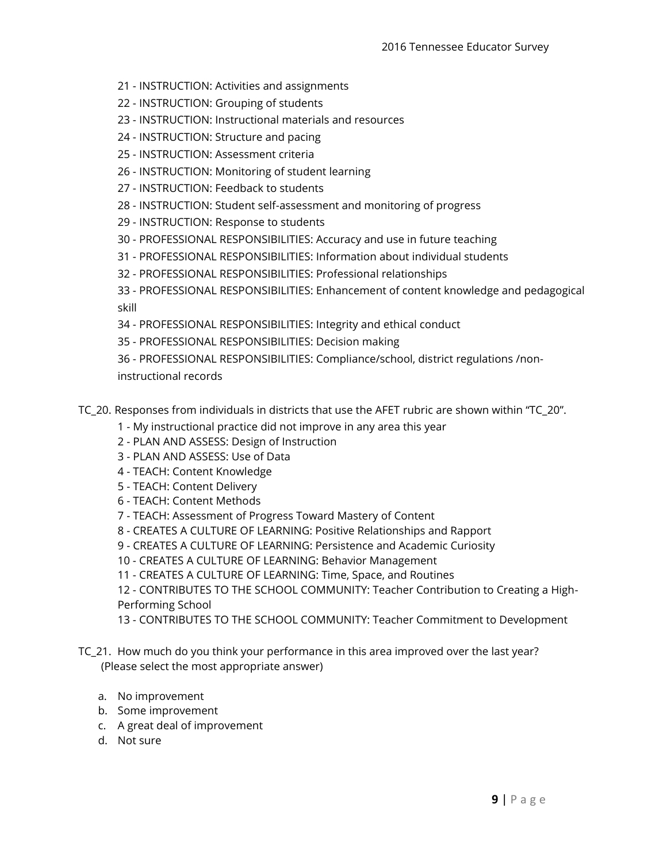- 21 INSTRUCTION: Activities and assignments
- 22 INSTRUCTION: Grouping of students
- 23 INSTRUCTION: Instructional materials and resources
- 24 INSTRUCTION: Structure and pacing
- 25 INSTRUCTION: Assessment criteria
- 26 INSTRUCTION: Monitoring of student learning
- 27 INSTRUCTION: Feedback to students
- 28 INSTRUCTION: Student self-assessment and monitoring of progress
- 29 INSTRUCTION: Response to students
- 30 PROFESSIONAL RESPONSIBILITIES: Accuracy and use in future teaching
- 31 PROFESSIONAL RESPONSIBILITIES: Information about individual students
- 32 PROFESSIONAL RESPONSIBILITIES: Professional relationships
- 33 PROFESSIONAL RESPONSIBILITIES: Enhancement of content knowledge and pedagogical skill
- 34 PROFESSIONAL RESPONSIBILITIES: Integrity and ethical conduct
- 35 PROFESSIONAL RESPONSIBILITIES: Decision making
- 36 PROFESSIONAL RESPONSIBILITIES: Compliance/school, district regulations /non-
- instructional records
- TC\_20. Responses from individuals in districts that use the AFET rubric are shown within "TC\_20".
	- 1 My instructional practice did not improve in any area this year
	- 2 PLAN AND ASSESS: Design of Instruction
	- 3 PLAN AND ASSESS: Use of Data
	- 4 TEACH: Content Knowledge
	- 5 TEACH: Content Delivery
	- 6 TEACH: Content Methods
	- 7 TEACH: Assessment of Progress Toward Mastery of Content
	- 8 CREATES A CULTURE OF LEARNING: Positive Relationships and Rapport
	- 9 CREATES A CULTURE OF LEARNING: Persistence and Academic Curiosity
	- 10 CREATES A CULTURE OF LEARNING: Behavior Management
	- 11 CREATES A CULTURE OF LEARNING: Time, Space, and Routines

12 - CONTRIBUTES TO THE SCHOOL COMMUNITY: Teacher Contribution to Creating a High-Performing School

- 13 CONTRIBUTES TO THE SCHOOL COMMUNITY: Teacher Commitment to Development
- TC\_21. How much do you think your performance in this area improved over the last year? (Please select the most appropriate answer)
	- a. No improvement
	- b. Some improvement
	- c. A great deal of improvement
	- d. Not sure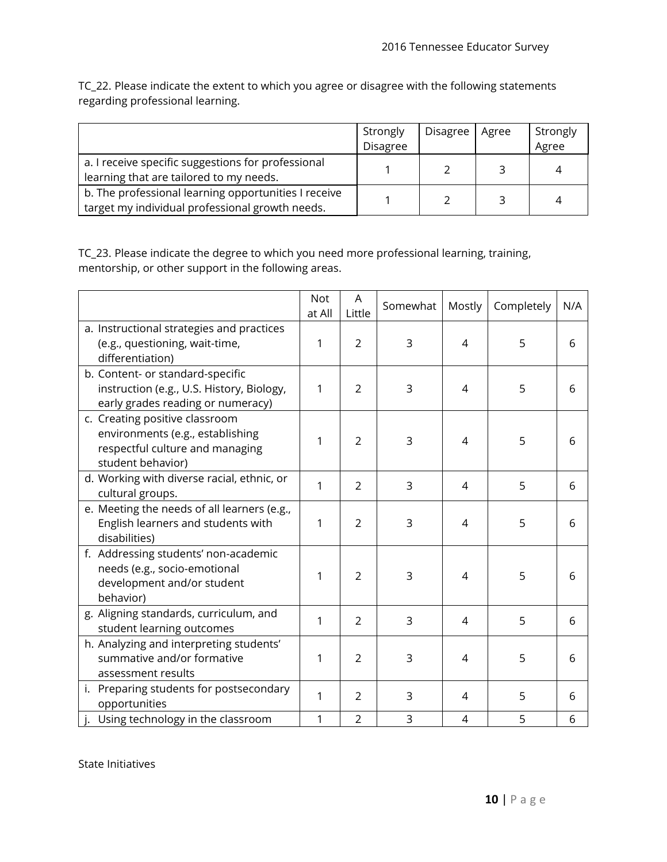TC\_22. Please indicate the extent to which you agree or disagree with the following statements regarding professional learning.

|                                                                                                         | Strongly<br>Disagree | Disagree   Agree | Strongly<br>Agree |
|---------------------------------------------------------------------------------------------------------|----------------------|------------------|-------------------|
| a. I receive specific suggestions for professional<br>learning that are tailored to my needs.           |                      |                  | 4                 |
| b. The professional learning opportunities I receive<br>target my individual professional growth needs. |                      |                  | 4                 |

TC\_23. Please indicate the degree to which you need more professional learning, training, mentorship, or other support in the following areas.

|                                                                                                                            | <b>Not</b><br>at All | A<br>Little    | Somewhat | Mostly | Completely | N/A |
|----------------------------------------------------------------------------------------------------------------------------|----------------------|----------------|----------|--------|------------|-----|
| a. Instructional strategies and practices<br>(e.g., questioning, wait-time,<br>differentiation)                            | 1                    | 2              | 3        | 4      | 5          | 6   |
| b. Content- or standard-specific<br>instruction (e.g., U.S. History, Biology,<br>early grades reading or numeracy)         | 1                    | $\overline{2}$ | 3        | 4      | 5          | 6   |
| c. Creating positive classroom<br>environments (e.g., establishing<br>respectful culture and managing<br>student behavior) | 1                    | 2              | 3        | 4      | 5          | 6   |
| d. Working with diverse racial, ethnic, or<br>cultural groups.                                                             | 1                    | $\overline{2}$ | 3        | 4      | 5          | 6   |
| e. Meeting the needs of all learners (e.g.,<br>English learners and students with<br>disabilities)                         | 1                    | $\overline{2}$ | 3        | 4      | 5          | 6   |
| f. Addressing students' non-academic<br>needs (e.g., socio-emotional<br>development and/or student<br>behavior)            | 1                    | $\overline{2}$ | 3        | 4      | 5          | 6   |
| g. Aligning standards, curriculum, and<br>student learning outcomes                                                        | 1                    | $\overline{2}$ | 3        | 4      | 5          | 6   |
| h. Analyzing and interpreting students'<br>summative and/or formative<br>assessment results                                | 1                    | $\overline{2}$ | 3        | 4      | 5          | 6   |
| i. Preparing students for postsecondary<br>opportunities                                                                   | 1                    | $\overline{2}$ | 3        | 4      | 5          | 6   |
| j. Using technology in the classroom                                                                                       | 1                    | $\overline{2}$ | 3        | 4      | 5          | 6   |

State Initiatives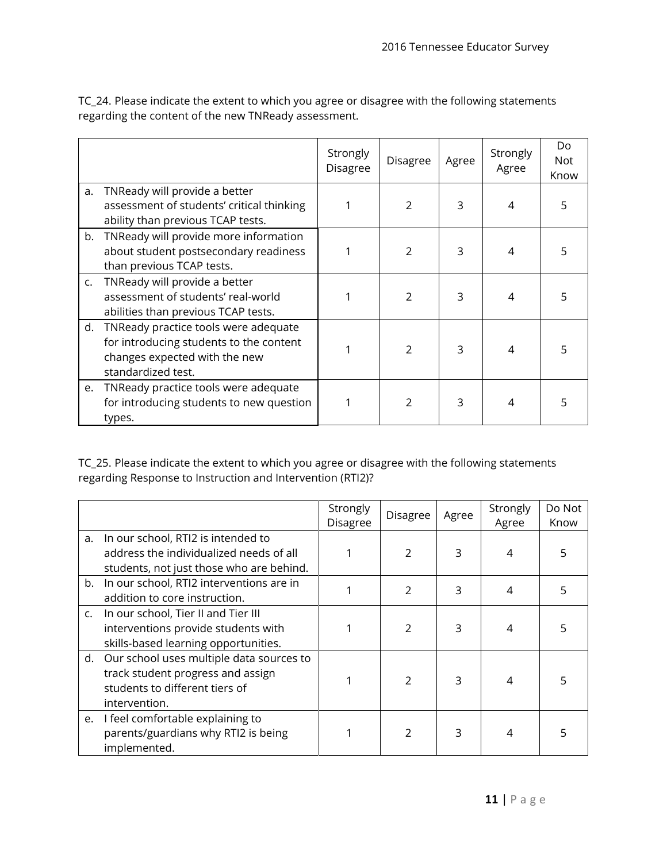|    |                                                                                                                                        | Strongly<br>Disagree | Disagree       | Agree | Strongly<br>Agree | Do<br><b>Not</b><br>Know |
|----|----------------------------------------------------------------------------------------------------------------------------------------|----------------------|----------------|-------|-------------------|--------------------------|
| a. | TNReady will provide a better<br>assessment of students' critical thinking<br>ability than previous TCAP tests.                        |                      | $\mathfrak{D}$ | 3     | 4                 | 5                        |
| b. | TNReady will provide more information<br>about student postsecondary readiness<br>than previous TCAP tests.                            |                      | 2              | 3     | 4                 |                          |
| c. | TNReady will provide a better<br>assessment of students' real-world<br>abilities than previous TCAP tests.                             |                      | 2              | 3     | 4                 |                          |
| d. | TNReady practice tools were adequate<br>for introducing students to the content<br>changes expected with the new<br>standardized test. |                      | $\mathfrak{D}$ | 3     | 4                 |                          |
| e. | TNReady practice tools were adequate<br>for introducing students to new question<br>types.                                             | 1                    | $\mathfrak{D}$ | 3     | 4                 |                          |

TC\_24. Please indicate the extent to which you agree or disagree with the following statements regarding the content of the new TNReady assessment.

TC\_25. Please indicate the extent to which you agree or disagree with the following statements regarding Response to Instruction and Intervention (RTI2)?

|    |                                                                                                                                     | Strongly<br>Disagree | Disagree      | Agree | Strongly<br>Agree | Do Not<br>Know |
|----|-------------------------------------------------------------------------------------------------------------------------------------|----------------------|---------------|-------|-------------------|----------------|
| a. | In our school, RTI2 is intended to<br>address the individualized needs of all<br>students, not just those who are behind.           |                      |               | 3     | 4                 |                |
|    | b. In our school, RTI2 interventions are in<br>addition to core instruction.                                                        |                      | 2             | 3     | 4                 |                |
|    | c. In our school, Tier II and Tier III<br>interventions provide students with<br>skills-based learning opportunities.               |                      | $\mathcal{P}$ | 3     |                   |                |
|    | d. Our school uses multiple data sources to<br>track student progress and assign<br>students to different tiers of<br>intervention. |                      | $\mathcal{P}$ | 3     | 4                 |                |
|    | e. I feel comfortable explaining to<br>parents/guardians why RTI2 is being<br>implemented.                                          |                      | 2             | 3     |                   |                |